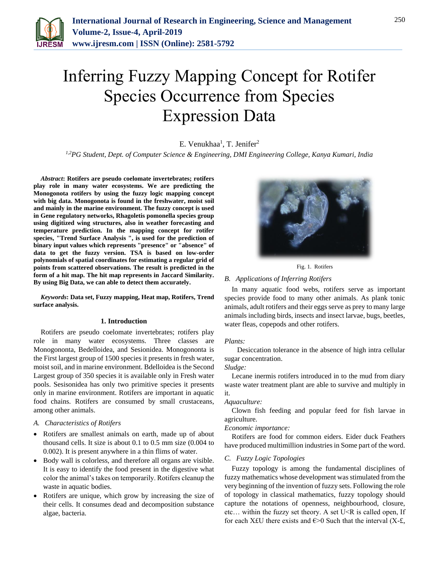

# Inferring Fuzzy Mapping Concept for Rotifer Species Occurrence from Species Expression Data

E. Venukhaa<sup>1</sup>, T. Jenifer<sup>2</sup>

*1,2PG Student, Dept. of Computer Science & Engineering, DMI Engineering College, Kanya Kumari, India*

*Abstract***: Rotifers are pseudo coelomate invertebrates; rotifers play role in many water ecosystems. We are predicting the Monogonota rotifers by using the fuzzy logic mapping concept with big data. Monogonota is found in the freshwater, moist soil and mainly in the marine environment. The fuzzy concept is used in Gene regulatory networks, Rhagoletis pomonella species group using digitized wing structures, also in weather forecasting and temperature prediction. In the mapping concept for rotifer species, "Trend Surface Analysis ", is used for the prediction of binary input values which represents "presence" or "absence" of data to get the fuzzy version. TSA is based on low-order polynomials of spatial coordinates for estimating a regular grid of points from scattered observations. The result is predicted in the form of a hit map. The hit map represents in Jaccard Similarity. By using Big Data, we can able to detect them accurately.**

*Keywords***: Data set, Fuzzy mapping, Heat map, Rotifers, Trend surface analysis.**

#### **1. Introduction**

Rotifers are pseudo coelomate invertebrates; rotifers play role in many water ecosystems. Three classes are Monogononta, Bedelloidea, and Sesionidea. Monogononta is the First largest group of 1500 species it presents in fresh water, moist soil, and in marine environment. Bdelloidea is the Second Largest group of 350 species it is available only in Fresh water pools. Sesisonidea has only two primitive species it presents only in marine environment. Rotifers are important in aquatic food chains. Rotifers are consumed by small crustaceans, among other animals.

#### *A. Characteristics of Rotifers*

- Rotifers are smallest animals on earth, made up of about thousand cells. It size is about 0.1 to 0.5 mm size (0.004 to 0.002). It is present anywhere in a thin flims of water.
- Body wall is colorless, and therefore all organs are visible. It is easy to identify the food present in the digestive what color the animal's takes on temporarily. Rotifers cleanup the waste in aquatic bodies.
- Rotifers are unique, which grow by increasing the size of their cells. It consumes dead and decomposition substance algae, bacteria.



Fig. 1. Rotifers

#### *B. Applications of Inferring Rotifers*

In many aquatic food webs, rotifers serve as important species provide food to many other animals. As plank tonic animals, adult rotifers and their eggs serve as prey to many large animals including birds, insects and insect larvae, bugs, beetles, water fleas, copepods and other rotifers.

#### *Plants:*

 Desiccation tolerance in the absence of high intra cellular sugar concentration.

*Sludge:*

Lecane inermis rotifers introduced in to the mud from diary waste water treatment plant are able to survive and multiply in it.

## *Aquaculture:*

Clown fish feeding and popular feed for fish larvae in agriculture.

#### *Economic importance:*

Rotifers are food for common eiders. Eider duck Feathers have produced multimillion industries in Some part of the word.

#### *C. Fuzzy Logic Topologies*

Fuzzy topology is among the fundamental disciplines of fuzzy mathematics whose development was stimulated from the very beginning of the invention of fuzzy sets. Following the role of topology in classical mathematics, fuzzy topology should capture the notations of openness, neighbourhood, closure, etc... within the fuzzy set theory. A set U<R is called open, If for each X£U there exists and  $\epsilon$ >0 Such that the interval (X-£,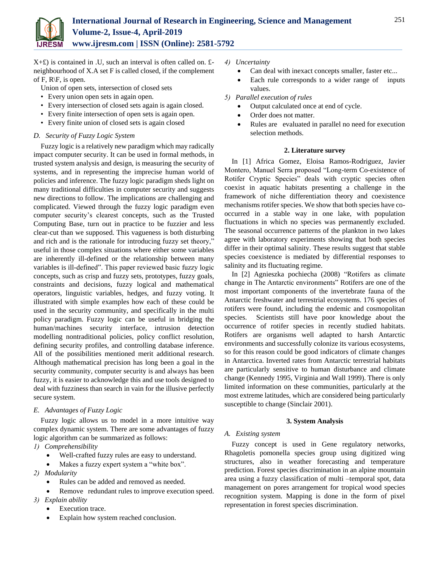

 $X+\pounds$ ) is contained in .U, such an interval is often called on. £neighbourhood of X.A set F is called closed, if the complement of F,  $R \ F$ , is open.

Union of open sets, intersection of closed sets

- Every union open sets in again open.
- Every intersection of closed sets again is again closed.
- Every finite intersection of open sets is again open.
- Every finite union of closed sets is again closed

#### *D. Security of Fuzzy Logic System*

Fuzzy logic is a relatively new paradigm which may radically impact computer security. It can be used in formal methods, in trusted system analysis and design, is measuring the security of systems, and in representing the imprecise human world of policies and inference. The fuzzy logic paradigm sheds light on many traditional difficulties in computer security and suggests new directions to follow. The implications are challenging and complicated. Viewed through the fuzzy logic paradigm even computer security's clearest concepts, such as the Trusted Computing Base, turn out in practice to be fuzzier and less clear-cut than we supposed. This vagueness is both disturbing and rich and is the rationale for introducing fuzzy set theory," useful in those complex situations where either some variables are inherently ill-defined or the relationship between many variables is ill-defined". This paper reviewed basic fuzzy logic concepts, such as crisp and fuzzy sets, prototypes, fuzzy goals, constraints and decisions, fuzzy logical and mathematical operators, linguistic variables, hedges, and fuzzy voting. It illustrated with simple examples how each of these could be used in the security community, and specifically in the multi policy paradigm. Fuzzy logic can be useful in bridging the human/machines security interface, intrusion detection modelling nontraditional policies, policy conflict resolution, defining security profiles, and controlling database inference. All of the possibilities mentioned merit additional research. Although mathematical precision has long been a goal in the security community, computer security is and always has been fuzzy, it is easier to acknowledge this and use tools designed to deal with fuzziness than search in vain for the illusive perfectly secure system.

## *E. Advantages of Fuzzy Logic*

Fuzzy logic allows us to model in a more intuitive way complex dynamic system. There are some advantages of fuzzy logic algorithm can be summarized as follows:

*1) Comprehensibility*

- Well-crafted fuzzy rules are easy to understand.
- Makes a fuzzy expert system a "white box".
- *2) Modularity*
	- Rules can be added and removed as needed.
	- Remove redundant rules to improve execution speed.
- *3) Explain ability*
	- Execution trace.
	- Explain how system reached conclusion.

## *4) Uncertainty*

- Can deal with inexact concepts smaller, faster etc...
- Each rule corresponds to a wider range of inputs values.
- *5) Parallel execution of rules*
	- Output calculated once at end of cycle.
	- Order does not matter.
	- Rules are evaluated in parallel no need for execution selection methods.

#### **2. Literature survey**

In [1] Africa Gomez, Eloisa Ramos-Rodriguez, Javier Montero, Manuel Serra proposed "Long-term Co-existence of Rotifer Cryptic Species" deals with cryptic species often coexist in aquatic habitats presenting a challenge in the framework of niche differentiation theory and coexistence mechanisms rotifer species. We show that both species have cooccurred in a stable way in one lake, with population fluctuations in which no species was permanently excluded. The seasonal occurrence patterns of the plankton in two lakes agree with laboratory experiments showing that both species differ in their optimal salinity. These results suggest that stable species coexistence is mediated by differential responses to salinity and its fluctuating regime.

In [2] Agnieszka pochiecha (2008) "Rotifers as climate change in The Antarctic environments" Rotifers are one of the most important components of the invertebrate fauna of the Antarctic freshwater and terrestrial ecosystems. 176 species of rotifers were found, including the endemic and cosmopolitan species. Scientists still have poor knowledge about the occurrence of rotifer species in recently studied habitats. Rotifers are organisms well adapted to harsh Antarctic environments and successfully colonize its various ecosystems, so for this reason could be good indicators of climate changes in Antarctica. Inverted rates from Antarctic terrestrial habitats are particularly sensitive to human disturbance and climate change (Kennedy 1995, Virginia and Wall 1999). There is only limited information on these communities, particularly at the most extreme latitudes, which are considered being particularly susceptible to change (Sinclair 2001).

#### **3. System Analysis**

## *A. Existing system*

Fuzzy concept is used in Gene regulatory networks, Rhagoletis pomonella species group using digitized wing structures, also in weather forecasting and temperature prediction. Forest species discrimination in an alpine mountain area using a fuzzy classification of multi –temporal spot, data management on pores arrangement for tropical wood species recognition system. Mapping is done in the form of pixel representation in forest species discrimination.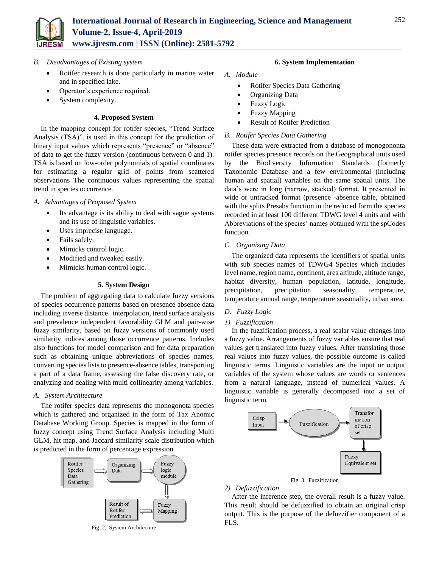

- Rotifer research is done particularly in marine water and in specified lake.
- Operator's experience required.
- System complexity.

## **4. Proposed System**

In the mapping concept for rotifer species, "Trend Surface Analysis (TSA)", is used in this concept for the prediction of binary input values which represents "presence" or "absence" of data to get the fuzzy version (continuous between 0 and 1). TSA is based on low-order polynomials of spatial coordinates for estimating a regular grid of points from scattered observations The continuous values representing the spatial trend in species occurrence.

## *A. Advantages of Proposed System*

- Its advantage is its ability to deal with vague systems and its use of linguistic variables.
- Uses imprecise language.
- Fails safely.
- Mimicks control logic.
- Modified and tweaked easily.
- Mimicks human control logic.

## **5. System Design**

The problem of aggregating data to calculate fuzzy versions of species occurrence patterns based on presence absence data including inverse distance interpolation, trend surface analysis and prevalence independent favorability GLM and pair-wise fuzzy similarity, based on fuzzy versions of commonly used similarity indices among those occurrence patterns. Includes also functions for model comparison and for data preparation such as obtaining unique abbreviations of species names, converting species lists to presence-absence tables, transporting a part of a data frame, assessing the false discovery rate, or analyzing and dealing with multi collinearity among variables.

## *A. System Architecture*

The rotifer species data represents the monogonota species which is gathered and organized in the form of Tax Anomic Database Working Group. Species is mapped in the form of fuzzy concept using Trend Surface Analysis including Multi GLM, hit map, and Jaccard similarity scale distribution which is predicted in the form of percentage expression.



Fig. 2. System Architecture

## **6. System Implementation**

#### *A. Module*

- Rotifer Species Data Gathering
- Organizing Data
- Fuzzy Logic
- Fuzzy Mapping
- Result of Rotifer Prediction

## *B. Rotifer Species Data Gathering*

These data were extracted from a database of monogononta rotifer species presence records on the Geographical units used by the Biodiversity Information Standards (formerly Taxonomic Database and a few environmental (including human and spatial) variables on the same spatial units. The data's were in long (narrow, stacked) format. It presented in wide or untracked format (presence -absence table, obtained with the splits Presabs function in the reduced form the species recorded in at least 100 different TDWG level 4 units and with Abbreviations of the species' names obtained with the spCodes function.

## *C. Organizing Data*

The organized data represents the identifiers of spatial units with sub species names of TDWG4 Species which includes level name, region name, continent, area altitude, altitude range, habitat diversity, human population, latitude, longitude, precipitation, precipitation seasonality, temperature, temperature annual range, temperature seasonality, urban area.

## *D. Fuzzy Logic*

## *1) Fuzzification*

In the fuzzification process, a real scalar value changes into a fuzzy value. Arrangements of fuzzy variables ensure that real values get translated into fuzzy values. After translating those real values into fuzzy values, the possible outcome is called linguistic terms. Linguistic variables are the input or output variables of the system whose values are words or sentences from a natural language, instead of numerical values. A linguistic variable is generally decomposed into a set of linguistic term.



## Fig. 3. Fuzzification

## *2) Defuzzification*

After the inference step, the overall result is a fuzzy value. This result should be defuzzified to obtain an original crisp output. This is the purpose of the defuzzifier component of a FLS.